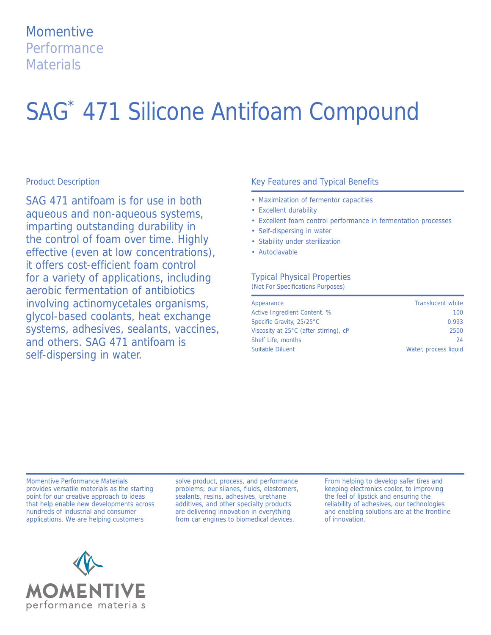# **Momentive Performance Materials**

# SAG\* 471 Silicone Antifoam Compound

#### Product Description

SAG 471 antifoam is for use in both aqueous and non-aqueous systems, imparting outstanding durability in the control of foam over time. Highly effective (even at low concentrations), it offers cost-efficient foam control for a variety of applications, including aerobic fermentation of antibiotics involving actinomycetales organisms, glycol-based coolants, heat exchange systems, adhesives, sealants, vaccines, and others. SAG 471 antifoam is self-dispersing in water.

#### Key Features and Typical Benefits

- Maximization of fermentor capacities
- Excellent durability
- Excellent foam control performance in fermentation processes
- Self-dispersing in water
- Stability under sterilization
- Autoclavable

### Typical Physical Properties

(Not For Specifications Purposes)

| Appearance                             | <b>Translucent white</b> |
|----------------------------------------|--------------------------|
| Active Ingredient Content, %           | 100                      |
| Specific Gravity, 25/25°C              | 0.993                    |
| Viscosity at 25°C (after stirring), cP | 2500                     |
| Shelf Life, months                     | 24                       |
| <b>Suitable Diluent</b>                | Water, process liquid    |

Momentive Performance Materials provides versatile materials as the starting point for our creative approach to ideas that help enable new developments across hundreds of industrial and consumer applications. We are helping customers

solve product, process, and performance problems; our silanes, fluids, elastomers, sealants, resins, adhesives, urethane additives, and other specialty products are delivering innovation in everything from car engines to biomedical devices.

From helping to develop safer tires and keeping electronics cooler, to improving the feel of lipstick and ensuring the reliability of adhesives, our technologies and enabling solutions are at the frontline of innovation.

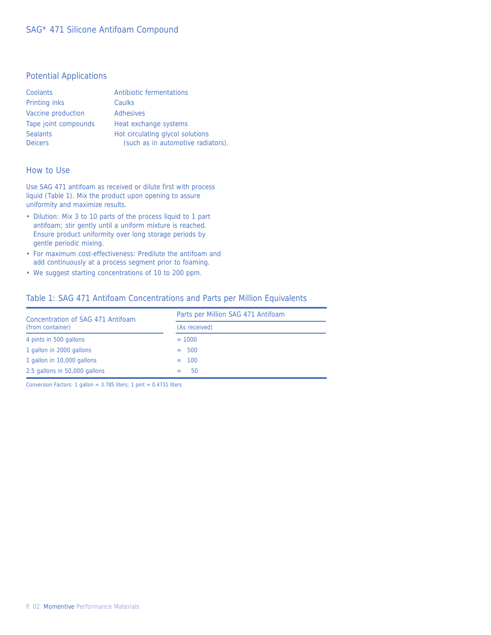#### Potential Applications

| Coolants                          | Antibiotic fermentations                                               |
|-----------------------------------|------------------------------------------------------------------------|
| <b>Printing inks</b>              | Caulks                                                                 |
| Vaccine production                | <b>Adhesives</b>                                                       |
| Tape joint compounds              | Heat exchange systems                                                  |
| <b>Sealants</b><br><b>Deicers</b> | Hot circulating glycol solutions<br>(such as in automotive radiators). |
|                                   |                                                                        |

#### How to Use

Use SAG 471 antifoam as received or dilute first with process liquid (Table 1). Mix the product upon opening to assure uniformity and maximize results.

- Dilution: Mix 3 to 10 parts of the process liquid to 1 part antifoam; stir gently until a uniform mixture is reached. Ensure product uniformity over long storage periods by gentle periodic mixing.
- For maximum cost-effectiveness: Predilute the antifoam and add continuously at a process segment prior to foaming.
- We suggest starting concentrations of 10 to 200 ppm.

#### Table 1: SAG 471 Antifoam Concentrations and Parts per Million Equivalents

| Concentration of SAG 471 Antifoam<br>(from container) | Parts per Million SAG 471 Antifoam |  |  |
|-------------------------------------------------------|------------------------------------|--|--|
|                                                       | (As received)                      |  |  |
| 4 pints in 500 gallons                                | $= 1000$                           |  |  |
| 1 gallon in 2000 gallons                              | $= 500$                            |  |  |
| 1 gallon in 10,000 gallons                            | $= 100$                            |  |  |
| 2.5 gallons in 50,000 gallons                         | 50                                 |  |  |

Conversion Factors: 1 gallon = 3.785 liters; 1 pint = 0.4731 liters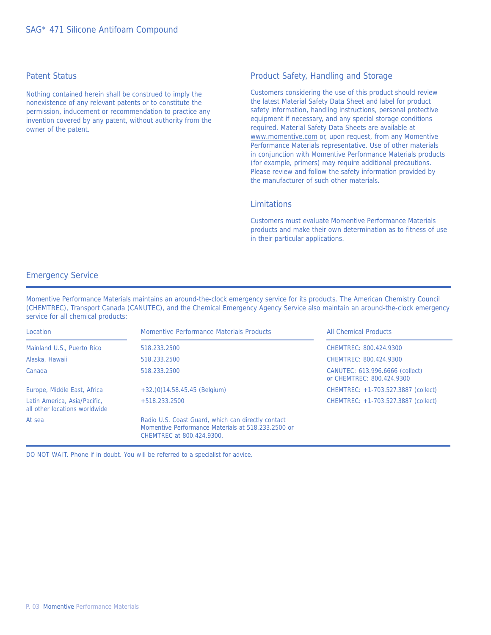#### Patent Status

Nothing contained herein shall be construed to imply the nonexistence of any relevant patents or to constitute the permission, inducement or recommendation to practice any invention covered by any patent, without authority from the owner of the patent.

#### Product Safety, Handling and Storage

Customers considering the use of this product should review the latest Material Safety Data Sheet and label for product safety information, handling instructions, personal protective equipment if necessary, and any special storage conditions required. Material Safety Data Sheets are available at www.momentive.com or, upon request, from any Momentive Performance Materials representative. Use of other materials in conjunction with Momentive Performance Materials products (for example, primers) may require additional precautions. Please review and follow the safety information provided by the manufacturer of such other materials.

#### Limitations

Customers must evaluate Momentive Performance Materials products and make their own determination as to fitness of use in their particular applications.

#### Emergency Service

Momentive Performance Materials maintains an around-the-clock emergency service for its products. The American Chemistry Council (CHEMTREC), Transport Canada (CANUTEC), and the Chemical Emergency Agency Service also maintain an around-the-clock emergency service for all chemical products:

| Location                                                      | Momentive Performance Materials Products                                                                                              | <b>All Chemical Products</b>                                 |
|---------------------------------------------------------------|---------------------------------------------------------------------------------------------------------------------------------------|--------------------------------------------------------------|
| Mainland U.S., Puerto Rico                                    | 518.233.2500                                                                                                                          | CHEMTREC: 800.424.9300                                       |
| Alaska, Hawaii                                                | 518.233.2500                                                                                                                          | CHEMTREC: 800.424.9300                                       |
| Canada                                                        | 518.233.2500                                                                                                                          | CANUTEC: 613.996.6666 (collect)<br>or CHEMTREC: 800.424.9300 |
| Europe, Middle East, Africa                                   | $+32.(0)14.58.45.45$ (Belgium)                                                                                                        | CHEMTREC: +1-703.527.3887 (collect)                          |
| Latin America, Asia/Pacific,<br>all other locations worldwide | $+518.233.2500$                                                                                                                       | CHEMTREC: +1-703.527.3887 (collect)                          |
| At sea                                                        | Radio U.S. Coast Guard, which can directly contact<br>Momentive Performance Materials at 518.233.2500 or<br>CHEMTREC at 800.424.9300. |                                                              |

DO NOT WAIT. Phone if in doubt. You will be referred to a specialist for advice.